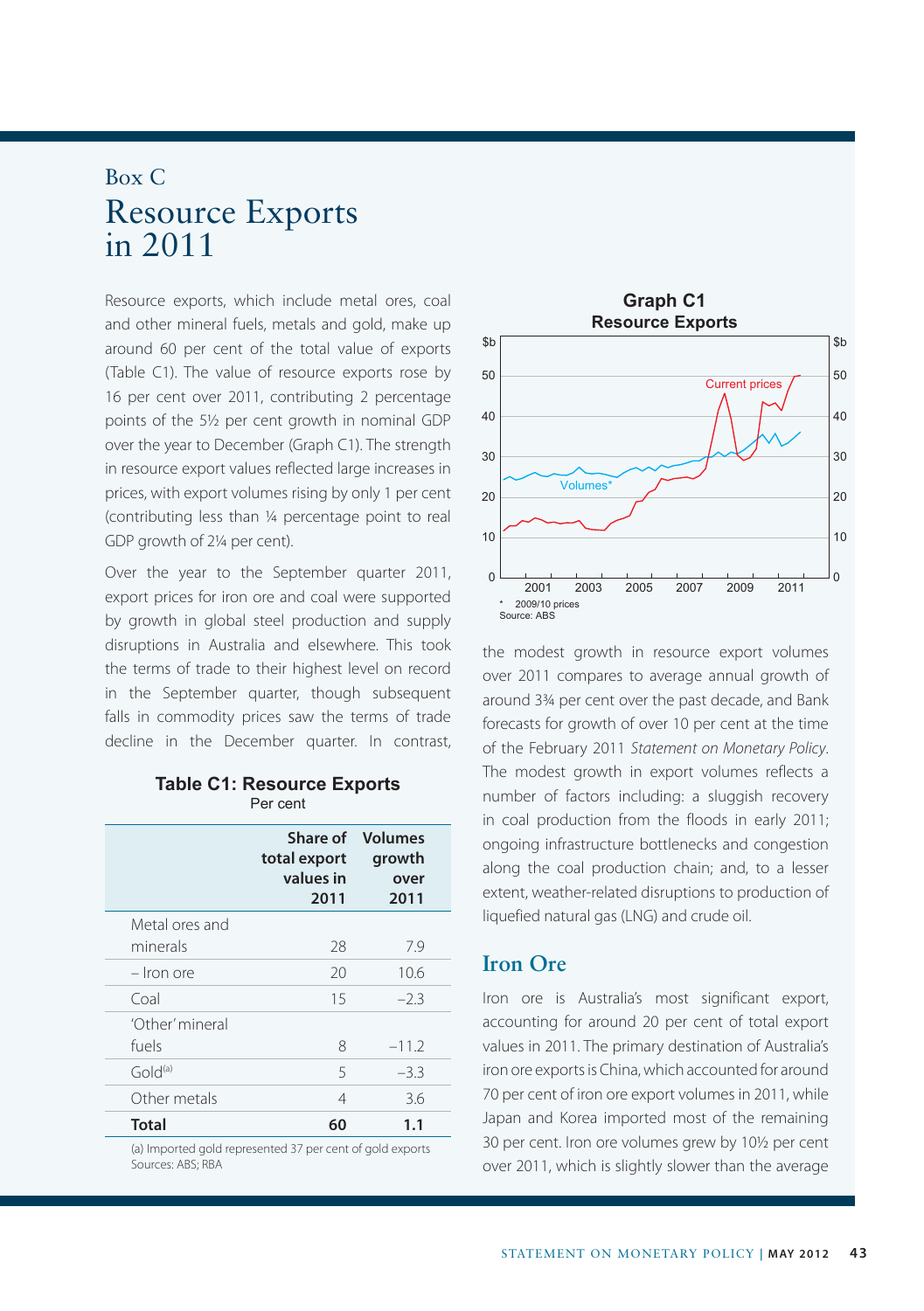## Box C Resource Exports in 2011

Resource exports, which include metal ores, coal and other mineral fuels, metals and gold, make up around 60 per cent of the total value of exports (Table C1). The value of resource exports rose by 16 per cent over 2011, contributing 2 percentage points of the 5½ per cent growth in nominal GDP over the year to December (Graph C1). The strength in resource export values reflected large increases in prices, with export volumes rising by only 1 per cent (contributing less than ¼ percentage point to real GDP growth of 2¼ per cent).

Over the year to the September quarter 2011, export prices for iron ore and coal were supported by growth in global steel production and supply disruptions in Australia and elsewhere. This took the terms of trade to their highest level on record in the September quarter, though subsequent falls in commodity prices saw the terms of trade decline in the December quarter. In contrast,

|  | <b>Table C1: Resource Exports</b> |  |
|--|-----------------------------------|--|
|  | Per cent                          |  |

|                     | total export<br>values in<br>2011 | <b>Share of Volumes</b><br>growth<br>over<br>2011 |  |
|---------------------|-----------------------------------|---------------------------------------------------|--|
| Metal ores and      |                                   |                                                   |  |
| minerals            | 28                                | 7.9                                               |  |
| - Iron ore          | 20                                | 10.6                                              |  |
| Coal                | 15                                | $-2.3$                                            |  |
| 'Other' mineral     |                                   |                                                   |  |
| fuels               | 8                                 | $-11.2$                                           |  |
| Gold <sup>(a)</sup> | 5                                 | $-3.3$                                            |  |
| Other metals        | 4                                 | 3.6                                               |  |
| Total               | 60                                | 1.1                                               |  |

(a) Imported gold represented 37 per cent of gold exports Sources: ABS; RBA



the modest growth in resource export volumes over 2011 compares to average annual growth of around 3¾ per cent over the past decade, and Bank forecasts for growth of over 10 per cent at the time of the February 2011 *Statement on Monetary Policy*. The modest growth in export volumes reflects a number of factors including: a sluggish recovery in coal production from the floods in early 2011; ongoing infrastructure bottlenecks and congestion along the coal production chain; and, to a lesser extent, weather-related disruptions to production of liquefied natural gas (LNG) and crude oil.

### **Iron Ore**

Iron ore is Australia's most significant export, accounting for around 20 per cent of total export values in 2011. The primary destination of Australia's iron ore exports is China, which accounted for around 70 per cent of iron ore export volumes in 2011, while Japan and Korea imported most of the remaining 30 per cent. Iron ore volumes grew by 10½ per cent over 2011, which is slightly slower than the average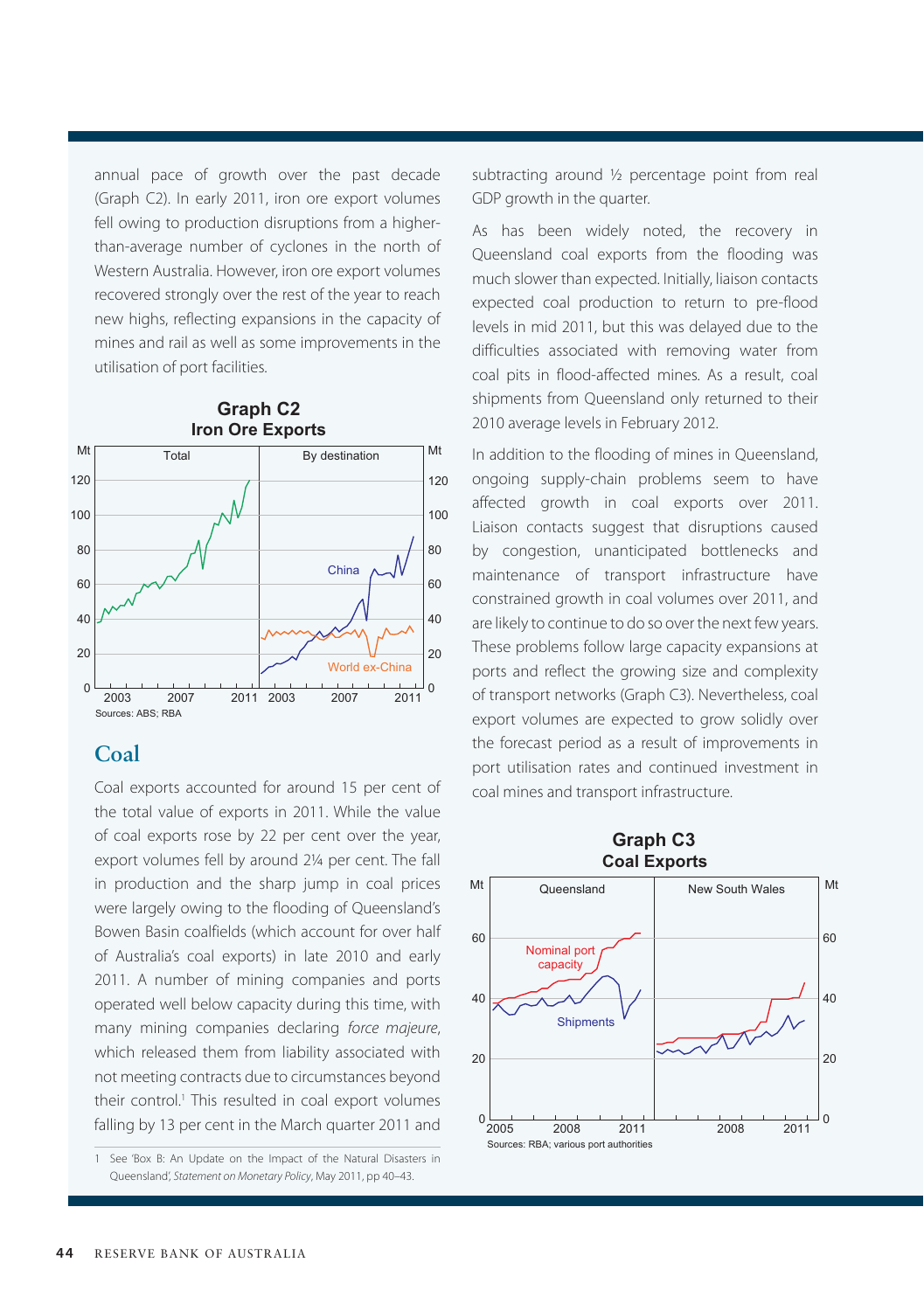annual pace of growth over the past decade (Graph C2). In early 2011, iron ore export volumes fell owing to production disruptions from a higherthan-average number of cyclones in the north of Western Australia. However, iron ore export volumes recovered strongly over the rest of the year to reach new highs, reflecting expansions in the capacity of mines and rail as well as some improvements in the utilisation of port facilities.



#### **Coal**

Coal exports accounted for around 15 per cent of the total value of exports in 2011. While the value of coal exports rose by 22 per cent over the year, export volumes fell by around 2¼ per cent. The fall in production and the sharp jump in coal prices were largely owing to the flooding of Queensland's Bowen Basin coalfields (which account for over half of Australia's coal exports) in late 2010 and early 2011. A number of mining companies and ports operated well below capacity during this time, with many mining companies declaring *force majeure*, which released them from liability associated with not meeting contracts due to circumstances beyond their control.<sup>1</sup> This resulted in coal export volumes falling by 13 per cent in the March quarter 2011 and

subtracting around ½ percentage point from real GDP growth in the quarter.

As has been widely noted, the recovery in Queensland coal exports from the flooding was much slower than expected. Initially, liaison contacts expected coal production to return to pre-flood levels in mid 2011, but this was delayed due to the difficulties associated with removing water from coal pits in flood-affected mines. As a result, coal shipments from Queensland only returned to their 2010 average levels in February 2012.

In addition to the flooding of mines in Queensland, ongoing supply-chain problems seem to have affected growth in coal exports over 2011. Liaison contacts suggest that disruptions caused by congestion, unanticipated bottlenecks and maintenance of transport infrastructure have constrained growth in coal volumes over 2011, and are likely to continue to do so over the next few years. These problems follow large capacity expansions at ports and reflect the growing size and complexity of transport networks (Graph C3). Nevertheless, coal export volumes are expected to grow solidly over the forecast period as a result of improvements in port utilisation rates and continued investment in coal mines and transport infrastructure.



# **Graph C3**

<sup>1</sup> See 'Box B: An Update on the Impact of the Natural Disasters in Queensland', *Statement on Monetary Policy*, May 2011, pp 40–43.